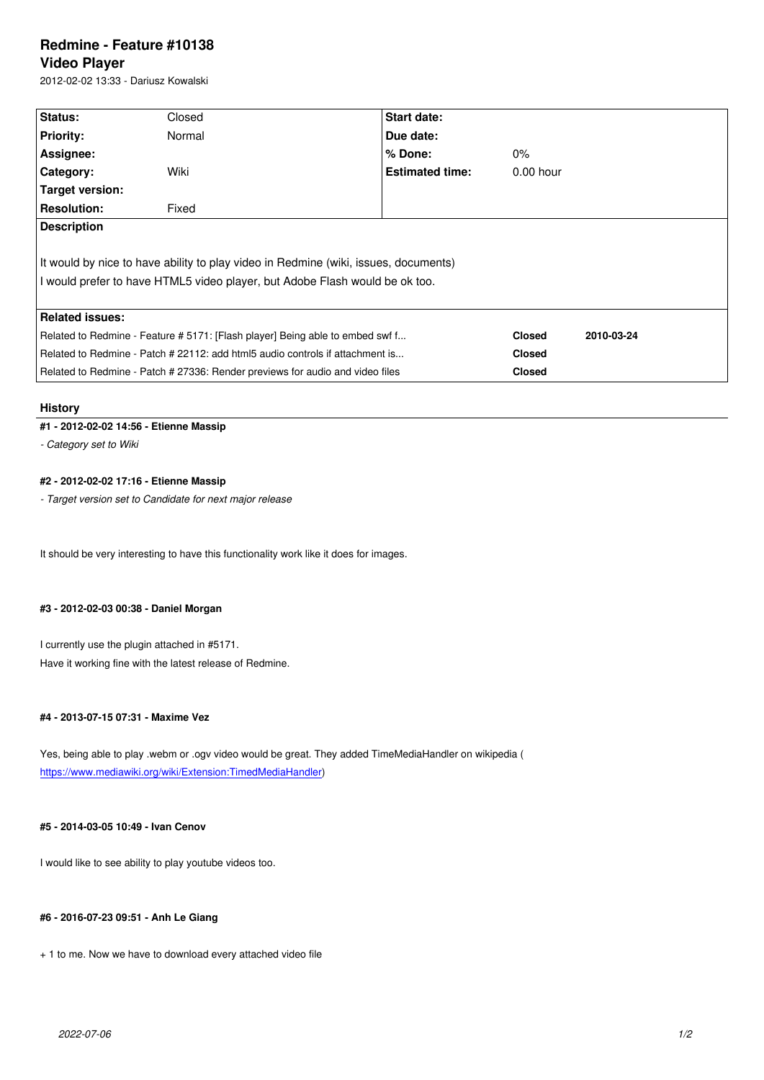#### **Video Player**

2012-02-02 13:33 - Dariusz Kowalski

| Status:                                                                             | Closed | Start date:            |               |            |
|-------------------------------------------------------------------------------------|--------|------------------------|---------------|------------|
| <b>Priority:</b>                                                                    | Normal | Due date:              |               |            |
| Assignee:                                                                           |        | % Done:                | $0\%$         |            |
| <b>Category:</b>                                                                    | Wiki   | <b>Estimated time:</b> | $0.00$ hour   |            |
| Target version:                                                                     |        |                        |               |            |
| <b>Resolution:</b>                                                                  | Fixed  |                        |               |            |
| <b>Description</b>                                                                  |        |                        |               |            |
|                                                                                     |        |                        |               |            |
| It would by nice to have ability to play video in Redmine (wiki, issues, documents) |        |                        |               |            |
| I would prefer to have HTML5 video player, but Adobe Flash would be ok too.         |        |                        |               |            |
|                                                                                     |        |                        |               |            |
| <b>Related issues:</b>                                                              |        |                        |               |            |
| Related to Redmine - Feature # 5171: [Flash player] Being able to embed swf f       |        |                        | <b>Closed</b> | 2010-03-24 |
| Related to Redmine - Patch # 22112: add html5 audio controls if attachment is       |        |                        | <b>Closed</b> |            |
| Related to Redmine - Patch # 27336: Render previews for audio and video files       |        |                        | <b>Closed</b> |            |

#### **History**

#### **#1 - 2012-02-02 14:56 - Etienne Massip**

*- Category set to Wiki*

# **#2 - 2012-02-02 17:16 - Etienne Massip**

*- Target version set to Candidate for next major release*

It should be very interesting to have this functionality work like it does for images.

#### **#3 - 2012-02-03 00:38 - Daniel Morgan**

I currently use the plugin attached in #5171. Have it working fine with the latest release of Redmine.

#### **#4 - 2013-07-15 07:31 - Maxime Vez**

Yes, being able to play .webm or .ogv video would be great. They added TimeMediaHandler on wikipedia ( https://www.mediawiki.org/wiki/Extension:TimedMediaHandler)

# **[#5 - 2014-03-05 10:49 - Ivan Cenov](https://www.mediawiki.org/wiki/Extension:TimedMediaHandler)**

I would like to see ability to play youtube videos too.

### **#6 - 2016-07-23 09:51 - Anh Le Giang**

+ 1 to me. Now we have to download every attached video file